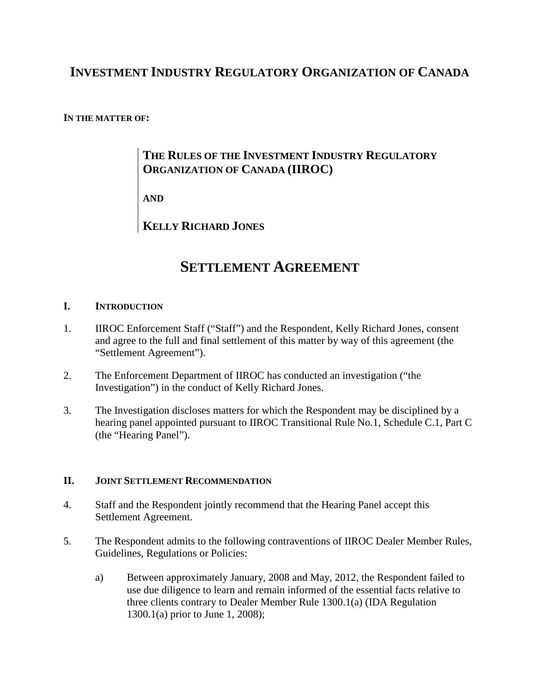## **INVESTMENT INDUSTRY REGULATORY ORGANIZATION OF CANADA**

#### **IN THE MATTER OF:**

### **THE RULES OF THE INVESTMENT INDUSTRY REGULATORY ORGANIZATION OF CANADA (IIROC)**

**AND**

**KELLY RICHARD JONES**

# **SETTLEMENT AGREEMENT**

#### **I. INTRODUCTION**

- 1. IIROC Enforcement Staff ("Staff") and the Respondent, Kelly Richard Jones, consent and agree to the full and final settlement of this matter by way of this agreement (the "Settlement Agreement").
- 2. The Enforcement Department of IIROC has conducted an investigation ("the Investigation") in the conduct of Kelly Richard Jones.
- 3. The Investigation discloses matters for which the Respondent may be disciplined by a hearing panel appointed pursuant to IIROC Transitional Rule No.1, Schedule C.1, Part C (the "Hearing Panel").

#### **II. JOINT SETTLEMENT RECOMMENDATION**

- 4. Staff and the Respondent jointly recommend that the Hearing Panel accept this Settlement Agreement.
- 5. The Respondent admits to the following contraventions of IIROC Dealer Member Rules, Guidelines, Regulations or Policies:
	- a) Between approximately January, 2008 and May, 2012, the Respondent failed to use due diligence to learn and remain informed of the essential facts relative to three clients contrary to Dealer Member Rule 1300.1(a) (IDA Regulation 1300.1(a) prior to June 1, 2008);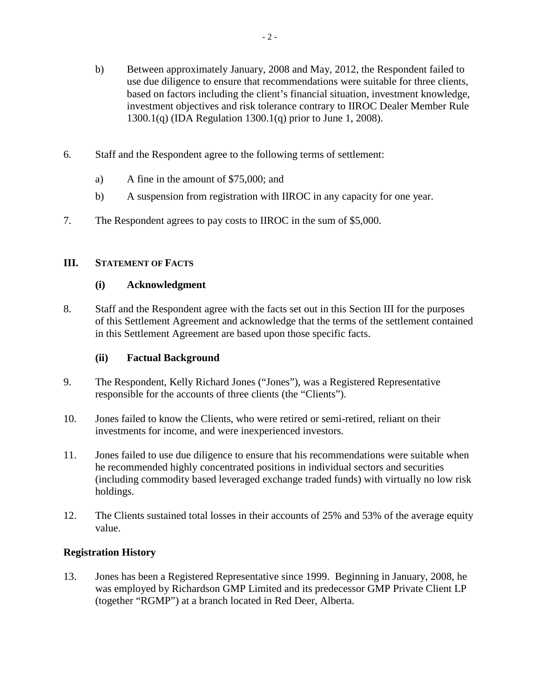- b) Between approximately January, 2008 and May, 2012, the Respondent failed to use due diligence to ensure that recommendations were suitable for three clients, based on factors including the client's financial situation, investment knowledge, investment objectives and risk tolerance contrary to IIROC Dealer Member Rule 1300.1(q) (IDA Regulation 1300.1(q) prior to June 1, 2008).
- 6. Staff and the Respondent agree to the following terms of settlement:
	- a) A fine in the amount of \$75,000; and
	- b) A suspension from registration with IIROC in any capacity for one year.
- 7. The Respondent agrees to pay costs to IIROC in the sum of \$5,000.

#### **III. STATEMENT OF FACTS**

#### **(i) Acknowledgment**

8. Staff and the Respondent agree with the facts set out in this Section III for the purposes of this Settlement Agreement and acknowledge that the terms of the settlement contained in this Settlement Agreement are based upon those specific facts.

#### **(ii) Factual Background**

- 9. The Respondent, Kelly Richard Jones ("Jones"), was a Registered Representative responsible for the accounts of three clients (the "Clients").
- 10. Jones failed to know the Clients, who were retired or semi-retired, reliant on their investments for income, and were inexperienced investors.
- 11. Jones failed to use due diligence to ensure that his recommendations were suitable when he recommended highly concentrated positions in individual sectors and securities (including commodity based leveraged exchange traded funds) with virtually no low risk holdings.
- 12. The Clients sustained total losses in their accounts of 25% and 53% of the average equity value.

#### **Registration History**

13. Jones has been a Registered Representative since 1999. Beginning in January, 2008, he was employed by Richardson GMP Limited and its predecessor GMP Private Client LP (together "RGMP") at a branch located in Red Deer, Alberta.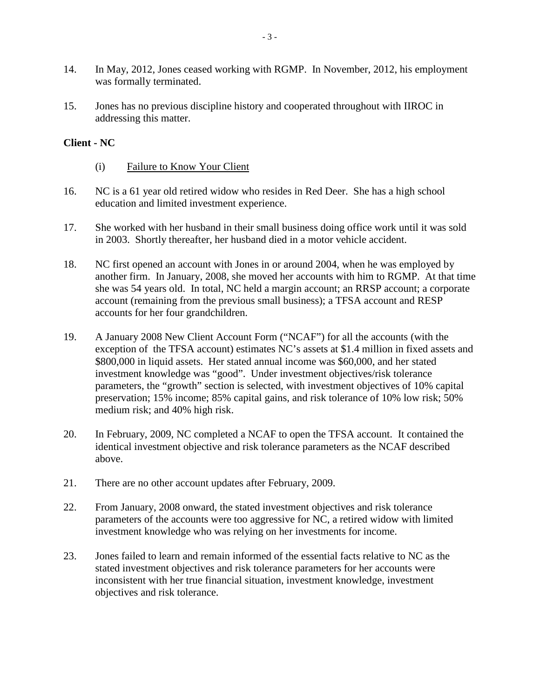- 14. In May, 2012, Jones ceased working with RGMP. In November, 2012, his employment was formally terminated.
- 15. Jones has no previous discipline history and cooperated throughout with IIROC in addressing this matter.

#### **Client - NC**

- (i) Failure to Know Your Client
- 16. NC is a 61 year old retired widow who resides in Red Deer. She has a high school education and limited investment experience.
- 17. She worked with her husband in their small business doing office work until it was sold in 2003. Shortly thereafter, her husband died in a motor vehicle accident.
- 18. NC first opened an account with Jones in or around 2004, when he was employed by another firm. In January, 2008, she moved her accounts with him to RGMP. At that time she was 54 years old. In total, NC held a margin account; an RRSP account; a corporate account (remaining from the previous small business); a TFSA account and RESP accounts for her four grandchildren.
- 19. A January 2008 New Client Account Form ("NCAF") for all the accounts (with the exception of the TFSA account) estimates NC's assets at \$1.4 million in fixed assets and \$800,000 in liquid assets. Her stated annual income was \$60,000, and her stated investment knowledge was "good". Under investment objectives/risk tolerance parameters, the "growth" section is selected, with investment objectives of 10% capital preservation; 15% income; 85% capital gains, and risk tolerance of 10% low risk; 50% medium risk; and 40% high risk.
- 20. In February, 2009, NC completed a NCAF to open the TFSA account. It contained the identical investment objective and risk tolerance parameters as the NCAF described above.
- 21. There are no other account updates after February, 2009.
- 22. From January, 2008 onward, the stated investment objectives and risk tolerance parameters of the accounts were too aggressive for NC, a retired widow with limited investment knowledge who was relying on her investments for income.
- 23. Jones failed to learn and remain informed of the essential facts relative to NC as the stated investment objectives and risk tolerance parameters for her accounts were inconsistent with her true financial situation, investment knowledge, investment objectives and risk tolerance.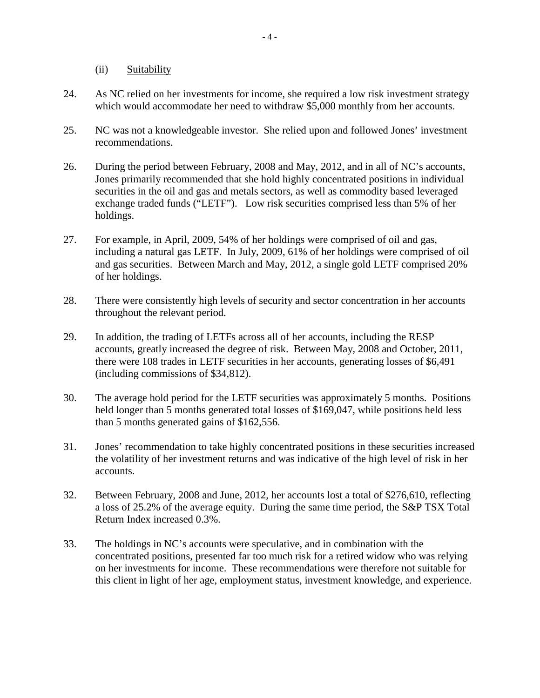(ii) Suitability

- 24. As NC relied on her investments for income, she required a low risk investment strategy which would accommodate her need to withdraw \$5,000 monthly from her accounts.
- 25. NC was not a knowledgeable investor. She relied upon and followed Jones' investment recommendations.
- 26. During the period between February, 2008 and May, 2012, and in all of NC's accounts, Jones primarily recommended that she hold highly concentrated positions in individual securities in the oil and gas and metals sectors, as well as commodity based leveraged exchange traded funds ("LETF"). Low risk securities comprised less than 5% of her holdings.
- 27. For example, in April, 2009, 54% of her holdings were comprised of oil and gas, including a natural gas LETF. In July, 2009, 61% of her holdings were comprised of oil and gas securities. Between March and May, 2012, a single gold LETF comprised 20% of her holdings.
- 28. There were consistently high levels of security and sector concentration in her accounts throughout the relevant period.
- 29. In addition, the trading of LETFs across all of her accounts, including the RESP accounts, greatly increased the degree of risk. Between May, 2008 and October, 2011, there were 108 trades in LETF securities in her accounts, generating losses of \$6,491 (including commissions of \$34,812).
- 30. The average hold period for the LETF securities was approximately 5 months. Positions held longer than 5 months generated total losses of \$169,047, while positions held less than 5 months generated gains of \$162,556.
- 31. Jones' recommendation to take highly concentrated positions in these securities increased the volatility of her investment returns and was indicative of the high level of risk in her accounts.
- 32. Between February, 2008 and June, 2012, her accounts lost a total of \$276,610, reflecting a loss of 25.2% of the average equity. During the same time period, the S&P TSX Total Return Index increased 0.3%.
- 33. The holdings in NC's accounts were speculative, and in combination with the concentrated positions, presented far too much risk for a retired widow who was relying on her investments for income. These recommendations were therefore not suitable for this client in light of her age, employment status, investment knowledge, and experience.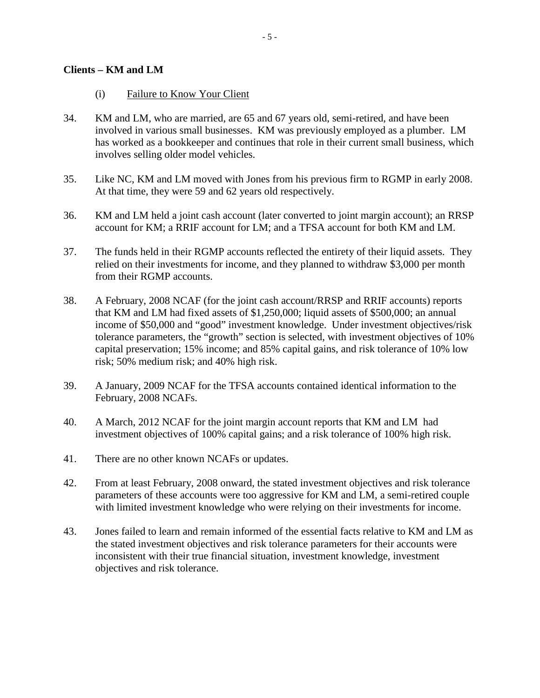#### **Clients – KM and LM**

- (i) Failure to Know Your Client
- 34. KM and LM, who are married, are 65 and 67 years old, semi-retired, and have been involved in various small businesses. KM was previously employed as a plumber. LM has worked as a bookkeeper and continues that role in their current small business, which involves selling older model vehicles.
- 35. Like NC, KM and LM moved with Jones from his previous firm to RGMP in early 2008. At that time, they were 59 and 62 years old respectively.
- 36. KM and LM held a joint cash account (later converted to joint margin account); an RRSP account for KM; a RRIF account for LM; and a TFSA account for both KM and LM.
- 37. The funds held in their RGMP accounts reflected the entirety of their liquid assets. They relied on their investments for income, and they planned to withdraw \$3,000 per month from their RGMP accounts.
- 38. A February, 2008 NCAF (for the joint cash account/RRSP and RRIF accounts) reports that KM and LM had fixed assets of \$1,250,000; liquid assets of \$500,000; an annual income of \$50,000 and "good" investment knowledge. Under investment objectives/risk tolerance parameters, the "growth" section is selected, with investment objectives of 10% capital preservation; 15% income; and 85% capital gains, and risk tolerance of 10% low risk; 50% medium risk; and 40% high risk.
- 39. A January, 2009 NCAF for the TFSA accounts contained identical information to the February, 2008 NCAFs.
- 40. A March, 2012 NCAF for the joint margin account reports that KM and LM had investment objectives of 100% capital gains; and a risk tolerance of 100% high risk.
- 41. There are no other known NCAFs or updates.
- 42. From at least February, 2008 onward, the stated investment objectives and risk tolerance parameters of these accounts were too aggressive for KM and LM, a semi-retired couple with limited investment knowledge who were relying on their investments for income.
- 43. Jones failed to learn and remain informed of the essential facts relative to KM and LM as the stated investment objectives and risk tolerance parameters for their accounts were inconsistent with their true financial situation, investment knowledge, investment objectives and risk tolerance.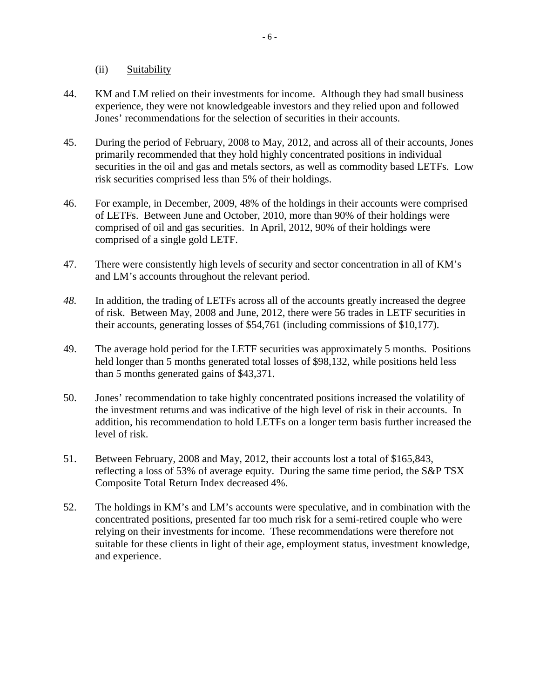(ii) Suitability

- 44. KM and LM relied on their investments for income. Although they had small business experience, they were not knowledgeable investors and they relied upon and followed Jones' recommendations for the selection of securities in their accounts.
- 45. During the period of February, 2008 to May, 2012, and across all of their accounts, Jones primarily recommended that they hold highly concentrated positions in individual securities in the oil and gas and metals sectors, as well as commodity based LETFs. Low risk securities comprised less than 5% of their holdings.
- 46. For example, in December, 2009, 48% of the holdings in their accounts were comprised of LETFs. Between June and October, 2010, more than 90% of their holdings were comprised of oil and gas securities. In April, 2012, 90% of their holdings were comprised of a single gold LETF.
- 47. There were consistently high levels of security and sector concentration in all of KM's and LM's accounts throughout the relevant period.
- *48.* In addition, the trading of LETFs across all of the accounts greatly increased the degree of risk. Between May, 2008 and June, 2012, there were 56 trades in LETF securities in their accounts, generating losses of \$54,761 (including commissions of \$10,177).
- 49. The average hold period for the LETF securities was approximately 5 months. Positions held longer than 5 months generated total losses of \$98,132, while positions held less than 5 months generated gains of \$43,371.
- 50. Jones' recommendation to take highly concentrated positions increased the volatility of the investment returns and was indicative of the high level of risk in their accounts. In addition, his recommendation to hold LETFs on a longer term basis further increased the level of risk.
- 51. Between February, 2008 and May, 2012, their accounts lost a total of \$165,843, reflecting a loss of 53% of average equity. During the same time period, the S&P TSX Composite Total Return Index decreased 4%.
- 52. The holdings in KM's and LM's accounts were speculative, and in combination with the concentrated positions, presented far too much risk for a semi-retired couple who were relying on their investments for income. These recommendations were therefore not suitable for these clients in light of their age, employment status, investment knowledge, and experience.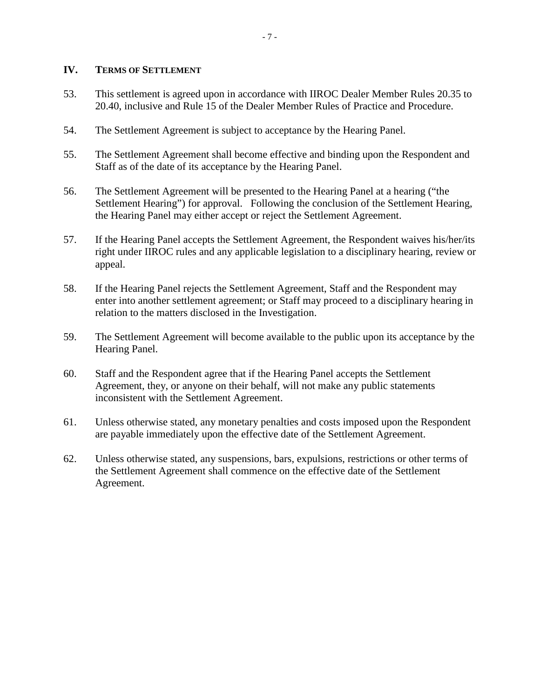#### **IV. TERMS OF SETTLEMENT**

- 53. This settlement is agreed upon in accordance with IIROC Dealer Member Rules 20.35 to 20.40, inclusive and Rule 15 of the Dealer Member Rules of Practice and Procedure.
- 54. The Settlement Agreement is subject to acceptance by the Hearing Panel.
- 55. The Settlement Agreement shall become effective and binding upon the Respondent and Staff as of the date of its acceptance by the Hearing Panel.
- 56. The Settlement Agreement will be presented to the Hearing Panel at a hearing ("the Settlement Hearing") for approval. Following the conclusion of the Settlement Hearing, the Hearing Panel may either accept or reject the Settlement Agreement.
- 57. If the Hearing Panel accepts the Settlement Agreement, the Respondent waives his/her/its right under IIROC rules and any applicable legislation to a disciplinary hearing, review or appeal.
- 58. If the Hearing Panel rejects the Settlement Agreement, Staff and the Respondent may enter into another settlement agreement; or Staff may proceed to a disciplinary hearing in relation to the matters disclosed in the Investigation.
- 59. The Settlement Agreement will become available to the public upon its acceptance by the Hearing Panel.
- 60. Staff and the Respondent agree that if the Hearing Panel accepts the Settlement Agreement, they, or anyone on their behalf, will not make any public statements inconsistent with the Settlement Agreement.
- 61. Unless otherwise stated, any monetary penalties and costs imposed upon the Respondent are payable immediately upon the effective date of the Settlement Agreement.
- 62. Unless otherwise stated, any suspensions, bars, expulsions, restrictions or other terms of the Settlement Agreement shall commence on the effective date of the Settlement Agreement.